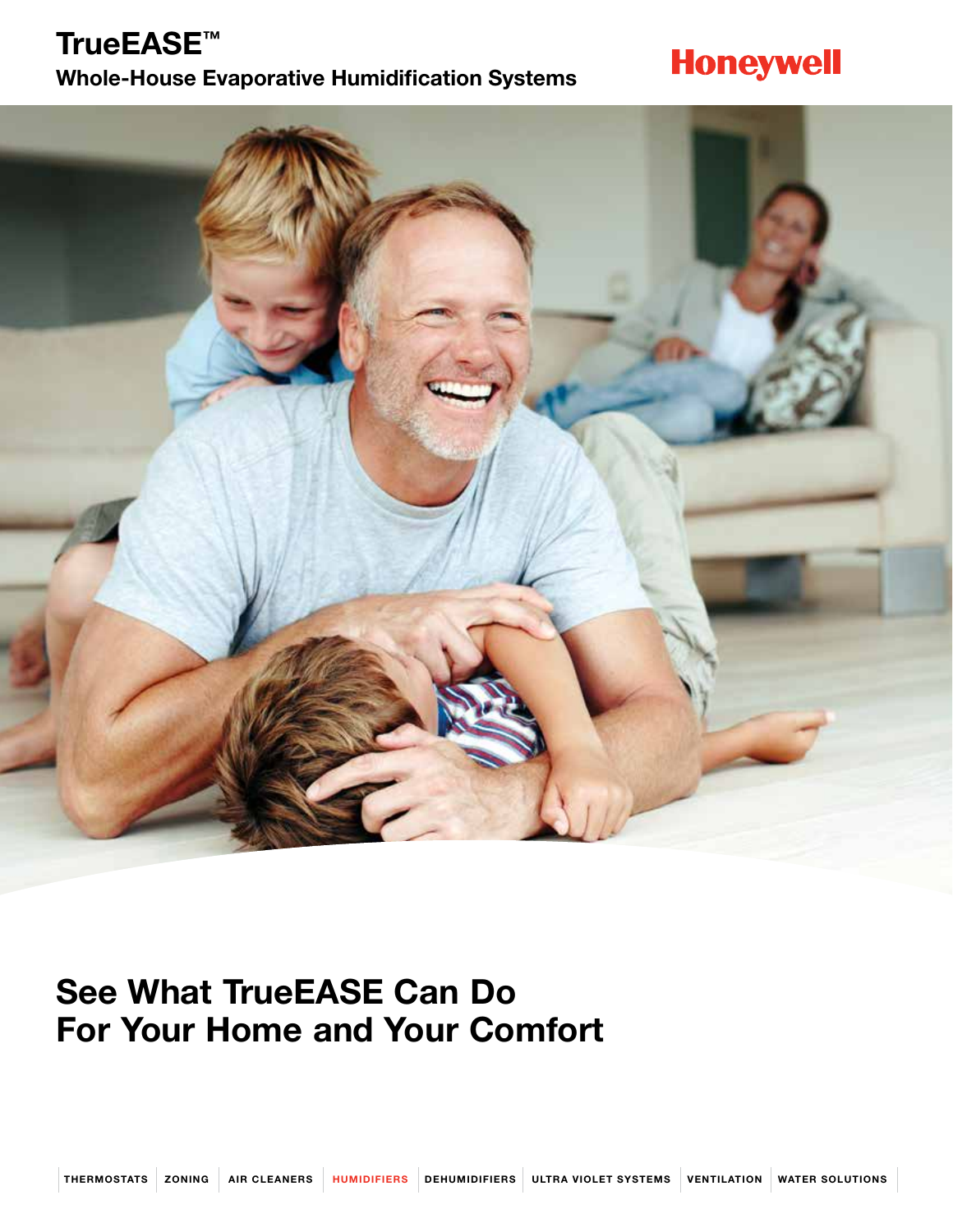# **Honeywell**



# See What TrueEASE Can Do For Your Home and Your Comfort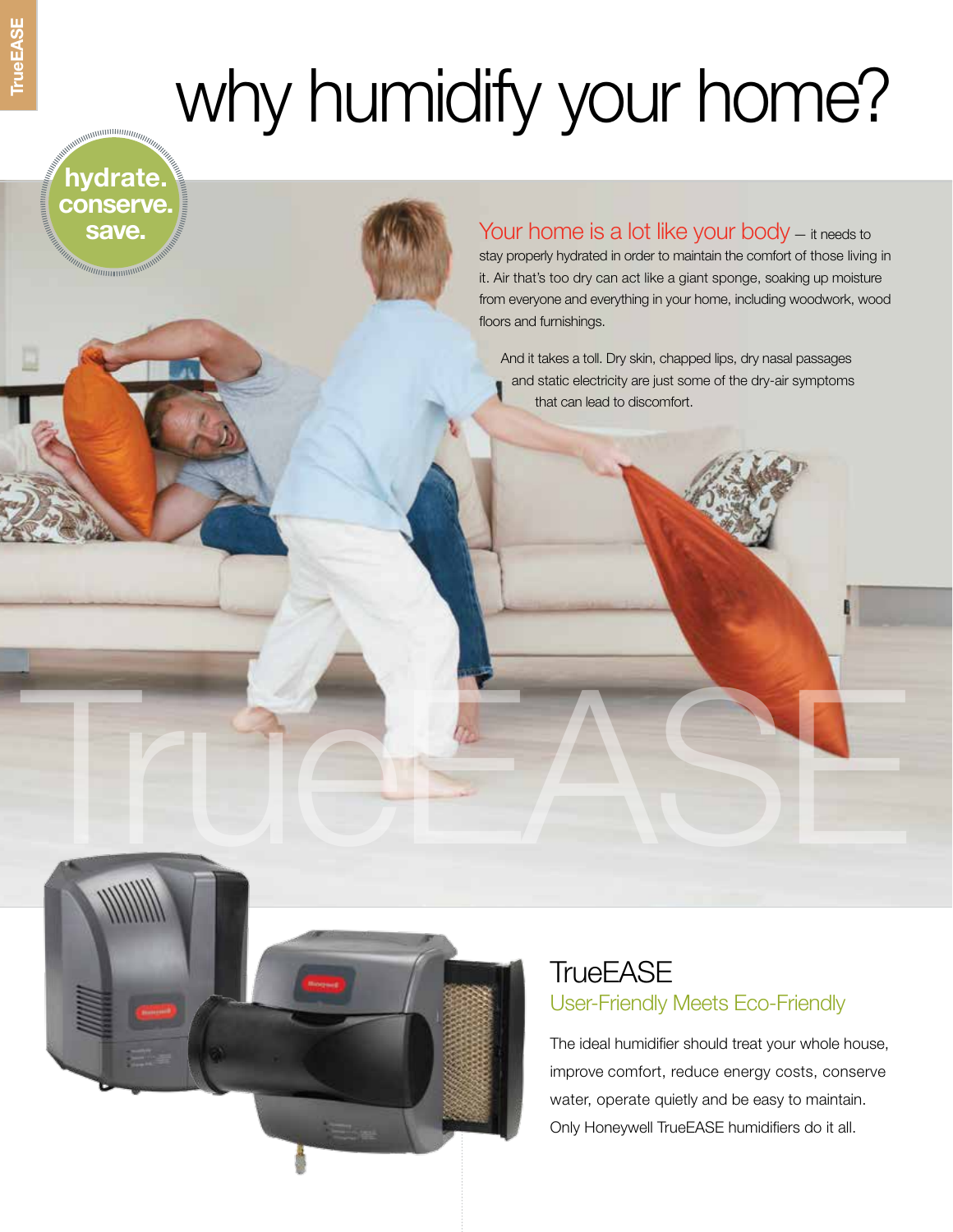# why humidify your home?

hydrate. conserve. **save** 

Your home is a lot like your body - it needs to stay properly hydrated in order to maintain the comfort of those living in it. Air that's too dry can act like a giant sponge, soaking up moisture from everyone and everything in your home, including woodwork, wood floors and furnishings.

 And it takes a toll. Dry skin, chapped lips, dry nasal passages and static electricity are just some of the dry-air symptoms that can lead to discomfort.



## **TrueEASE** User-Friendly Meets Eco-Friendly

The ideal humidifier should treat your whole house, improve comfort, reduce energy costs, conserve water, operate quietly and be easy to maintain. Only Honeywell TrueEASE humidifiers do it all.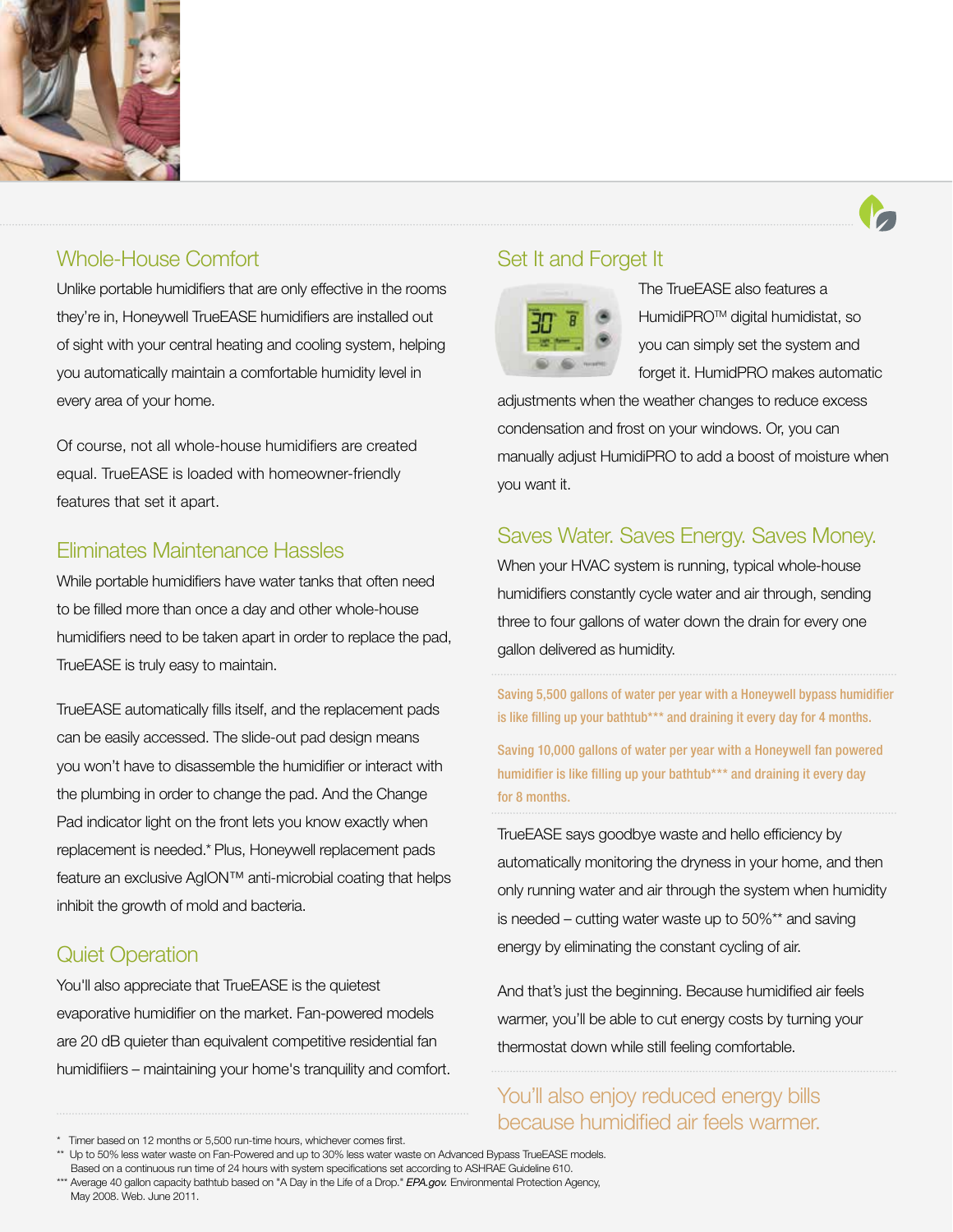

### Whole-House Comfort

Unlike portable humidifiers that are only effective in the rooms they're in, Honeywell TrueEASE humidifiers are installed out of sight with your central heating and cooling system, helping you automatically maintain a comfortable humidity level in every area of your home.

Of course, not all whole-house humidifiers are created equal. TrueEASE is loaded with homeowner-friendly features that set it apart.

#### Eliminates Maintenance Hassles

While portable humidifiers have water tanks that often need to be filled more than once a day and other whole-house humidifiers need to be taken apart in order to replace the pad, TrueEASE is truly easy to maintain.

TrueEASE automatically fills itself, and the replacement pads can be easily accessed. The slide-out pad design means you won't have to disassemble the humidifier or interact with the plumbing in order to change the pad. And the Change Pad indicator light on the front lets you know exactly when replacement is needed.\* Plus, Honeywell replacement pads feature an exclusive AgION™ anti-microbial coating that helps inhibit the growth of mold and bacteria.

### Quiet Operation

You'll also appreciate that TrueEASE is the quietest evaporative humidifier on the market. Fan-powered models are 20 dB quieter than equivalent competitive residential fan humidifiiers – maintaining your home's tranquility and comfort.

#### Set It and Forget It



The TrueEASE also features a HumidiPROTM digital humidistat, so you can simply set the system and forget it. HumidPRO makes automatic

adjustments when the weather changes to reduce excess condensation and frost on your windows. Or, you can manually adjust HumidiPRO to add a boost of moisture when you want it.

## Saves Water. Saves Energy. Saves Money.

When your HVAC system is running, typical whole-house humidifiers constantly cycle water and air through, sending three to four gallons of water down the drain for every one gallon delivered as humidity.

Saving 5,500 gallons of water per year with a Honeywell bypass humidifier is like filling up your bathtub\*\*\* and draining it every day for 4 months.

Saving 10,000 gallons of water per year with a Honeywell fan powered humidifier is like filling up your bathtub\*\*\* and draining it every day for 8 months.

TrueEASE says goodbye waste and hello efficiency by automatically monitoring the dryness in your home, and then only running water and air through the system when humidity is needed – cutting water waste up to 50%\*\* and saving energy by eliminating the constant cycling of air.

And that's just the beginning. Because humidified air feels warmer, you'll be able to cut energy costs by turning your thermostat down while still feeling comfortable.

#### You'll also enjoy reduced energy bills because humidified air feels warmer.

Timer based on 12 months or 5,500 run-time hours, whichever comes first.

<sup>\*\*</sup> Up to 50% less water waste on Fan-Powered and up to 30% less water waste on Advanced Bypass TrueEASE models. Based on a continuous run time of 24 hours with system specifications set according to ASHRAE Guideline 610.

<sup>\*\*\*</sup> Average 40 gallon capacity bathtub based on "A Day in the Life of a Drop." *EPA.gov.* Environmental Protection Agency, May 2008. Web. June 2011.